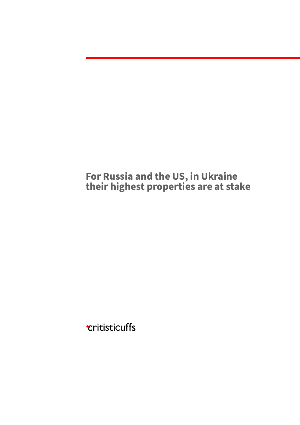**For Russia and the US, in Ukraine their highest properties are at stake**

**Eritisticuffs**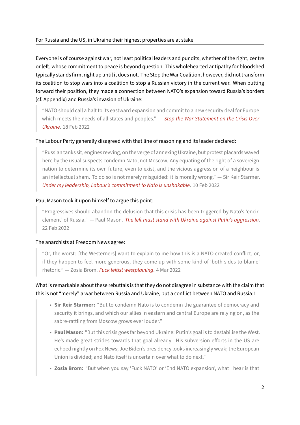Everyone is of course against war, not least political leaders and pundits, whether of the right, centre or left, whose commitment to peace is beyond question. This wholehearted antipathy for bloodshed typically stands firm, right up until it does not. The Stop the War Coalition, however, did not transform its coalition to stop wars into a coalition to stop a Russian victory in the current war. When putting forward their position, they made a connection between NATO's expansion toward Russia's borders (cf. Appendix) and Russia's invasion of Ukraine:

"NATO should call a halt to its eastward expansion and commit to a new security deal for Europe which meets the needs of all states and peoples." — *Stop the War Statement on the Crisis Over Ukraine*. 18 Feb 2022

#### The Labour Party generally disagreed with that line of re[asoning and its leader declared:](https://web.archive.org/web/20220219174919/https://www.stopwar.org.uk/article/list-of-signatories-stop-the-war-statement-on-the-crisis-over-ukraine/)

["Russian](https://web.archive.org/web/20220219174919/https://www.stopwar.org.uk/article/list-of-signatories-stop-the-war-statement-on-the-crisis-over-ukraine/) tanks sit, engines revving, on the verge of annexing Ukraine, but protest placards waved here by the usual suspects condemn Nato, not Moscow. Any equating of the right of a sovereign nation to determine its own future, even to exist, and the vicious aggression of a neighbour is an intellectual sham. To do so is not merely misguided: it is morally wrong." — Sir Keir Starmer. *Under my leadership, Labour's commitment to Nato is unshakable*. 10 Feb 2022

#### Paul Mason took it upon himself to argue this point:

["Progressives should abandon the delusion that this crisis has b](https://web.archive.org/web/20220501103242/https://www.theguardian.com/commentisfree/2022/feb/10/labour-nato-british-left-ukraine-keir-starmer)een triggered by Nato's 'encir‑ clement' of Russia." — Paul Mason. *The left must stand with Ukraine against Putin's aggression*. 22 Feb 2022

#### The anarchists at Freedom News agree[:](https://web.archive.org/web/20220501111803/https://www.newstatesman.com/comment/2022/02/the-left-must-stand-with-ukraine-against-putins-aggression)

"Or, the worst: [the Westerners] want to explain to me how this is a NATO created conflict, or, if they happen to feel more generous, they come up with some kind of 'both sides to blame' rhetoric." — Zosia Brom. *Fuck leftist westplaining*. 4 Mar 2022

### What is remarkable about these rebuttals is that they do not disagree in substance with the claim that this is not "merely" a war b[etween Russia and Ukrai](https://web.archive.org/web/20220501112342/https://freedomnews.org.uk/2022/03/04/fuck-leftist-westplaining/)ne, but a conflict between NATO and Russia:1

- **Sir Keir Starmer:** "But to condemn Nato is to condemn the guarantee of democracy and security it brings, and which our allies in eastern and central Europe are relying on, as the sabre-rattling from Moscow grows ever louder."
- **Paul Mason:** "But this crisis goes far beyond Ukraine: Putin's goal is to destabilise the West. He's made great strides towards that goal already. His subversion efforts in the US are echoed nightly on Fox News; Joe Biden's presidency looks increasingly weak; the European Union is divided; and Nato itself is uncertain over what to do next."
- **Zosia Brom:** "But when you say 'Fuck NATO' or 'End NATO expansion', what I hear is that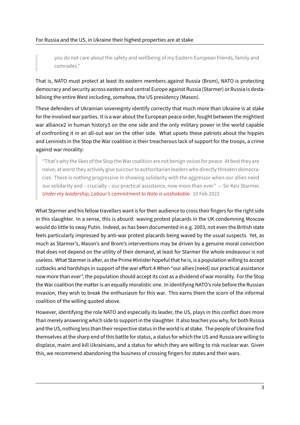you do not care about the safety and wellbeing of my Eastern European friends, family and comrades."

That is, NATO must protect at least its eastern members against Russia (Brom), NATO is protecting democracy and security across eastern and central Europe against Russia (Starmer) or Russia is desta‑ bilising the entire West including, somehow, the US presidency (Mason).

These defenders of Ukrainian sovereignty identify correctly that much more than Ukraine is at stake for the involved war parties. It is a war about the European peace order, fought between the mightiest war alliance2 in human history3 on the one side and the only military power in the world capable of confronting it in an all‑out war on the other side. What upsets these patriots about the hippies and Leninists in the Stop the War coalition is their treacherous lack of support for the troops, a crime against war morality:

"That's why the likes of the Stop the War coalition are not benign voicesfor peace. At best they are naive; at worst they actively give succour to authoritarian leaders who directly threaten democracies. There is nothing progressive in showing solidarity with the aggressor when our allies need our solidarity and – crucially – our practical assistance, now more than ever." — Sir Keir Starmer. *Under my leadership, Labour's commitment to Nato is unshakable*. 10 Feb 2022

What Starmer and his fellow travellers want is for their audience to cross their fingers for the right side in [this slaughter. In a sense, this is absurd: waving protest placards](https://web.archive.org/web/20220501103242/https://www.theguardian.com/commentisfree/2022/feb/10/labour-nato-british-left-ukraine-keir-starmer) in the UK condemning Moscow would do little to sway Putin. Indeed, as has been documented in e.g. 2003, not even the British state feels particularly impressed by anti-war protest placards being waved by the usual suspects. Yet, as much as Starmer's, Mason's and Brom's interventions may be driven by a genuine moral conviction that does not depend on the utility of their demand, at least for Starmer the whole endeavour is not useless. What Starmer is after, as the Prime Minister hopeful that he is, is a population willing to accept cutbacks and hardships in support of the war effort.4 When "our allies [need] our practical assistance now more than ever", the population should accept its cost as a dividend of war morality. For the Stop the War coalition the matter is an equally moralistic one. In identifying NATO's role before the Russian invasion, they wish to break the enthusiasm for this war. This earns them the scorn of the informal coalition of the willing quoted above.

However, identifying the role NATO and especially its leader, the US, plays in this conflict does more than merely answering which side to support in the slaughter. It also teaches you why, for both Russia and the US, nothing less than their respective status in the world is at stake. The people of Ukrainefind themselves at the sharp end of this battle for status, a status for which the US and Russia are willing to displace, maim and kill Ukrainians, and a status for which they are willing to risk nuclear war. Given this, we recommend abandoning the business of crossing fingers for states and their wars.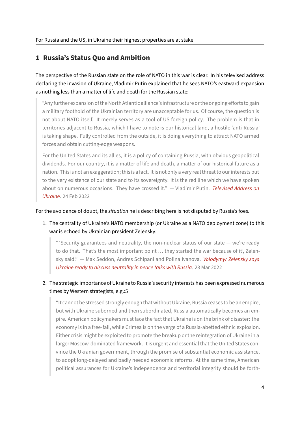# **1 Russia's Status Quo and Ambition**

The perspective of the Russian state on the role of NATO in this war is clear. In his televised address declaring the invasion of Ukraine, Vladimir Putin explained that he sees NATO's eastward expansion as nothing less than a matter of life and death for the Russian state:

"Anyfurther expansion of the North Atlantic alliance's infrastructure or the ongoing efforts to gain a military foothold of the Ukrainian territory are unacceptable for us. Of course, the question is not about NATO itself. It merely serves as a tool of US foreign policy. The problem is that in territories adjacent to Russia, which I have to note is our historical land, a hostile 'anti-Russia' is taking shape. Fully controlled from the outside, it is doing everything to attract NATO armed forces and obtain cutting‑edge weapons.

For the United States and its allies, it is a policy of containing Russia, with obvious geopolitical dividends. For our country, it is a matter of life and death, a matter of our historical future as a nation. This is not an exaggeration; this is afact. It is not only a very real threat to our interests but to the very existence of our state and to its sovereignty. It is the red line which we have spoken about on numerous occasions. They have crossed it." — Vladimir Putin. *Televised Address on Ukraine*. 24 Feb 2022

#### For the avoidance of doubt, the *situation* he is describing here is not disputed [by Russia's foes.](http://archive.today/2022.03.01-095435/https://www.bloomberg.com/news/articles/2022-02-24/full-transcript-vladimir-putin-s-televised-address-to-russia-on-ukraine-feb-24)

1. [The c](http://archive.today/2022.03.01-095435/https://www.bloomberg.com/news/articles/2022-02-24/full-transcript-vladimir-putin-s-televised-address-to-russia-on-ukraine-feb-24)entrality of Ukraine's NATO membership (or Ukraine as a NATO deployment zone) to this war is echoed by Ukrainian president Zelensky:

" 'Security guarantees and neutrality, the non-nuclear status of our state  $-$  we're ready to do that. That's the most important point ... they started the war because of it', Zelensky said." — Max Seddon, Andres Schipani and Polina Ivanova. *Volodymyr Zelensky says Ukraine ready to discuss neutrality in peace talks with Russia*. 28 Mar 2022

## 2. The strategic importance of Ukraine to Russia's security interests has [been expressed numerou](http://archive.today/2022.03.29-115222/https://www.ft.com/content/c5aa8066-715d-43dd-8a3c-b6907d839a36)s ti[mes by Western strategists, e.g.:5](http://archive.today/2022.03.29-115222/https://www.ft.com/content/c5aa8066-715d-43dd-8a3c-b6907d839a36)

"It cannot be stressed strongly enough that without Ukraine, Russia ceases to be an empire, but with Ukraine suborned and then subordinated, Russia automatically becomes an empire. American policymakers must face the fact that Ukraine is on the brink of disaster: the economy is in a free-fall, while Crimea is on the verge of a Russia-abetted ethnic explosion. Either crisis might be exploited to promote the breakup or the reintegration of Ukraine in a larger Moscow-dominated framework. It is urgent and essential that the United States convince the Ukranian government, through the promise of substantial economic assistance, to adopt long-delayed and badly needed economic reforms. At the same time, American political assurances for Ukraine's independence and territorial integrity should be forth‑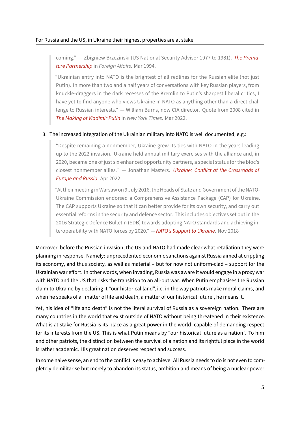coming." — Zbigniew Brzezinski (US National Security Advisor 1977 to 1981). *The Prema‑ ture Partnership* in *Foreign Affairs*. Mar 1994.

"Ukrainian entry into NATO is the brightest of all redlines for the Russian elite (not just Putin). In more than two and a half years of conversations with key Russian pl[ayers, from](https://web.archive.org/web/20150824151442/https://www.foreignaffairs.com/articles/russian-federation/1994-03-01/premature-partnership) knuckle-draggers in the dark recesses of the Kremlin to Putin's sharpest liberal critics, I have yet to find anyone who views Ukraine in NATO as anything other than a direct challenge to Russian interests." — William Burns, now CIA director. Quote from 2008 cited in *The Making of Vladimir Putin* in *New York Times*. Mar 2022.

#### 3. The increased integration of the Ukrainian military into NATO is well documented, e.g.:

["Despite remaining a nonme](https://www.nytimes.com/2022/03/26/world/europe/vladimir-putin-russia.html)mber, Ukraine grew its ties with NATO in the years leading up to the 2022 invasion. Ukraine held annual military exercises with the alliance and, in 2020, became one of just six enhanced opportunity partners, a special status for the bloc's closest nonmember allies." — Jonathan Masters. *Ukraine: Conflict at the Crossroads of Europe and Russia*. Apr 2022.

"At their meeting in Warsaw on 9 July 2016, the Heads of State and Government of the NATO-Ukraine Commission endorsed a Comprehensive [Assistance Package \(CAP\) for Ukraine.](https://web.archive.org/web/20220515120210/https://www.cfr.org/backgrounder/ukraine-conflict-crossroads-europe-and-russia) [The CAP supports](https://web.archive.org/web/20220515120210/https://www.cfr.org/backgrounder/ukraine-conflict-crossroads-europe-and-russia) Ukraine so that it can better provide for its own security, and carry out essential reforms in the security and defence sector. This includes objectives set out in the 2016 Strategic Defence Bulletin (SDB) towards adopting NATO standards and achieving in‑ teroperability with NATO forces by 2020." — *NATO's Support to Ukraine*. Nov 2018

Moreover, before the Russian invasion, the US and NATO had made clear what retaliation they were planning in response. Namely: unprecedented econ[omic sanctions against Rus](https://web.archive.org/web/20220317191815/https://www.nato.int/nato_static_fl2014/assets/pdf/pdf_2018_11/20181106_1811-factsheet-nato-ukraine-sup.pdf)sia aimed at crippling its economy, and thus society, as well as material – but for now not uniform‑clad – support for the Ukrainian war effort. In other words, when invading, Russia was aware it would engage in a proxy war with NATO and the US that risks the transition to an all-out war. When Putin emphasises the Russian claim to Ukraine by declaring it "our historical land", i.e. in the way patriots make moral claims, and when he speaks of a "matter of life and death, a matter of our historical future", he means it.

Yet, his idea of "life and death" is not the literal survival of Russia as a sovereign nation. There are many countries in the world that exist outside of NATO without being threatened in their existence. What is at stake for Russia is its place as a great power in the world, capable of demanding respect for its interests from the US. This is what Putin means by "our historical future as a nation". To him and other patriots, the distinction between the survival of a nation and its rightful place in the world is rather academic. His great nation deserves respect and success.

In some naive sense, an end to the conflict is easy to achieve. All Russia needs to do is not even to com‑ pletely demilitarise but merely to abandon its status, ambition and means of being a nuclear power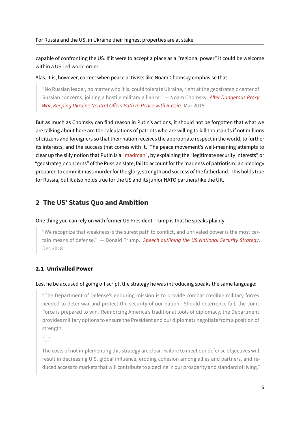capable of confronting the US. If it were to accept a place as a "regional power" it could be welcome within a US-led world order.

Alas, it is, however, correct when peace activists like Noam Chomsky emphasise that:

"No Russian leader, no matter who it is, could tolerate Ukraine, right at the geostrategic center of Russian concerns, joining a hostile military alliance." — Noam Chomsky. *After Dangerous Proxy War, Keeping Ukraine Neutral Offers Path to Peace with Russia*. Mar 2015.

But as much as Chomsky can find reason in Putin's actions, it should not b[e forgotten that what w](https://web.archive.org/web/20220515124210/https://www.democracynow.org/2015/3/2/noam_chomsky_after_dangerous_proxy_war)e ar[e talking about here are the calculations of patriots who are w](https://web.archive.org/web/20220515124210/https://www.democracynow.org/2015/3/2/noam_chomsky_after_dangerous_proxy_war)illing to kill thousands if not millions of citizens and foreigners so that their nation receives the appropriate respect in the world, to further its interests, and the success that comes with it. The peace movement's well-meaning attempts to clear up the silly notion that Putin is a "madman", by explaining the "legitimate security interests" or "geostrategic concerns" of the Russian state, fail to account for the madness of patriotism: an ideology prepared to commit mass murder for the glory, strength and success of the fatherland. This holds true for Russia, but it also holds true for th[e US and its](https://web.archive.org/web/20220617203417/https://www.washingtonpost.com/opinions/2022/04/01/matt-bai-putin-nukes/) junior NATO partners like the UK.

# **2 The US' Status Quo and Ambition**

One thing you can rely on with former US President Trump is that he speaks plainly:

"We recognize that weakness is the surest path to conflict, and unrivaled power is the most cer‑ tain means of defense." — Donald Trump. *Speech outlining the US National Security Strategy*. Dec 2018

### **2.1 Unrivalled Power**

#### Lest he be accused of going off script, the strategy he was introducing speaks the same language:

"The Department of Defense's enduring mission is to provide combat‑credible military forces needed to deter war and protect the security of our nation. Should deterrence fail, the Joint Force is prepared to win. Reinforcing America's traditional tools of diplomacy, the Department provides military options to ensure the President and our diplomats negotiate from a position of strength.

[…]

The costs of not implementing this strategy are clear. Failure to meet our defense objectives will result in decreasing U.S. global influence, eroding cohesion among allies and partners, and re‑ duced access to markets that will contribute to a decline in our prosperity and standard of living."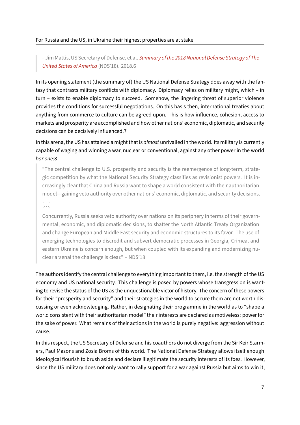– Jim Mattis, US Secretary of Defense, et al. *Summary of the 2018 National Defense Strategy of The United States of America* (NDS'18). 2018.6

In its opening statement (the summary of) th[e US National Defense Strategy does away with the fa](https://web.archive.org/web/20220512141822/https://dod.defense.gov/Portals/1/Documents/pubs/2018-National-Defense-Strategy-Summary.pdf)nta[sy that contrasts military](https://web.archive.org/web/20220512141822/https://dod.defense.gov/Portals/1/Documents/pubs/2018-National-Defense-Strategy-Summary.pdf) conflicts with diplomacy. Diplomacy relies on military might, which – in turn – exists to enable diplomacy to succeed. Somehow, the lingering threat of superior violence provides the conditions for successful negotiations. On this basis then, international treaties about anything from commerce to culture can be agreed upon. This is how influence, cohesion, access to markets and prosperity are accomplished and how other nations' economic, diplomatic, and security decisions can be decisively influenced.7

In this arena, the US has attained a might that is *almost* unrivalled in the world. Its military is currently capable of waging and winning a war, nuclear or conventional, against any other power in the world *bar one*:8

"The central challenge to U.S. prosperity and security is the reemergence of long-term, strategic competition by what the National Security Strategy classifies as revisionist powers. It is increasingly clear that China and Russia want to shape a world consistent with their authoritarian model—gaining veto authority over other nations' economic, diplomatic, and security decisions.

#### […]

Concurrently, Russia seeks veto authority over nations on its periphery in terms of their governmental, economic, and diplomatic decisions, to shatter the North Atlantic Treaty Organization and change European and Middle East security and economic structures to its favor. The use of emerging technologies to discredit and subvert democratic processes in Georgia, Crimea, and eastern Ukraine is concern enough, but when coupled with its expanding and modernizing nuclear arsenal the challenge is clear." – NDS'18

The authors identify the central challenge to everything important to them, i.e. the strength of the US economy and US national security. This challenge is posed by powers whose transgression is wanting to revise the status of the US as the unquestionable victor of history. The concern of these powers for their "prosperity and security" and their strategies in the world to secure them are not worth discussing or even acknowledging. Rather, in designating their programme in the world as to "shape a world consistent with their authoritarian model" their interests are declared as motiveless: power for the sake of power. What remains of their actions in the world is purely negative: aggression without cause.

In this respect, the US Secretary of Defense and his coauthors do not diverge from the Sir Keir Starmers, Paul Masons and Zosia Broms of this world. The National Defense Strategy allows itself enough ideological flourish to brush aside and declare illegitimate the security interests of its foes. However, since the US military does not only want to rally support for a war against Russia but aims to win it,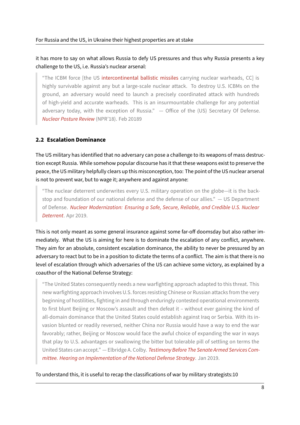# it has more to say on what allows Russia to defy US pressures and thus why Russia presents a key challenge to the US, i.e. Russia's nuclear arsenal:

"The ICBM force [the US intercontinental ballistic missiles carrying nuclear warheads, CC] is highly survivable against any but a large-scale nuclear attack. To destroy U.S. ICBMs on the ground, an adversary would need to launch a precisely coordinated attack with hundreds of high-yield and accurat[e warheads. This is an insurmou](https://en.wikipedia.org/wiki/Intercontinental_ballistic_missile)ntable challenge for any potential adversary today, with the exception of Russia." - Office of the (US) Secretary Of Defense. *Nuclear Posture Review* (NPR'18). Feb 20189

## **2.[2 Escalation Domina](https://web.archive.org/web/20220428120223/https://media.defense.gov/2018/Feb/02/2001872886/-1/-1/1/2018-NUCLEAR-POSTURE-REVIEW-FINAL-REPORT.PDF)nce**

The US military has identified that no adversary can pose a challenge to its weapons of mass destruc‑ tion except Russia. While somehow popular discourse has it that these weapons exist to preserve the peace, the US military helpfully clears up this misconception, too: The point of the US nuclear arsenal is not to prevent war, but to wage it; anywhere and against anyone:

"The nuclear deterrent underwrites every U.S. military operation on the globe—it is the back‑ stop and foundation of our national defense and the defense of our allies." — US Department of Defense. *Nuclear Modernization: Ensuring a Safe, Secure, Reliable, and Credible U.S. Nuclear Deterrent*. Apr 2019.

This is not only meant as some general insurance against some far-off doomsday but also rather imm[ediately. W](https://web.archive.org/web/20211204175602/https://media.defense.gov/2019/Apr/01/2002108024/-1/-1/1/NUCLEAR-MODERNIZATION-FIVE-KEY-TAKEAWAYS.PDF)hat the US is aiming for here is to dominate the escalation of any conflict, anywhere. They aim for an absolute, consistent escalation dominance, the ability to never be pressured by an adversary to react but to be in a position to dictate the terms of a conflict. The aim is that there is no level of escalation through which adversaries of the US can achieve some victory, as explained by a coauthor of the National Defense Strategy:

"The United States consequently needs a new warfighting approach adapted to this threat. This new warfighting approach involves U.S. forces resisting Chinese or Russian attacks from the very beginning of hostilities, fighting in and through enduringly contested operational environments to first blunt Beijing or Moscow's assault and then defeat it – without ever gaining the kind of all-domain dominance that the United States could establish against Iraq or Serbia. With its invasion blunted or readily reversed, neither China nor Russia would have a way to end the war favorably; rather, Beijing or Moscow would face the awful choice of expanding the war in ways that play to U.S. advantages or swallowing the bitter but tolerable pill of settling on terms the United States can accept." — Elbridge A. Colby. *Testimony Before The Senate Armed Services Com‑ mittee. Hearing on Implementation of the National Defense Strategy*. Jan 2019.

To understand this, it is useful to recap the classif[ications of war by military strategists:10](https://web.archive.org/web/20220402041850/https://www.armed-services.senate.gov/imo/media/doc/Colby_01-29-19.pdf)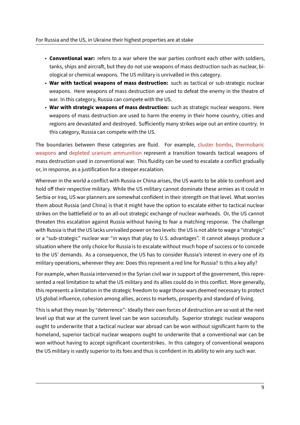- **Conventional war:** refers to a war where the war parties confront each other with soldiers, tanks, ships and aircraft, but they do not use weapons of mass destruction such as nuclear, biological or chemical weapons. The US military is unrivalled in this category.
- **War with tactical weapons of mass destruction:** such as tactical or sub‑strategic nuclear weapons. Here weapons of mass destruction are used to defeat the enemy in the theatre of war. In this category, Russia can compete with the US.
- **War with strategic weapons of mass destruction:** such as strategic nuclear weapons. Here weapons of mass destruction are used to harm the enemy in their home country, cities and regions are devastated and destroyed. Sufficiently many strikes wipe out an entire country. In this category, Russia can compete with the US.

The boundaries between these categories are fluid. For example, cluster bombs, thermobaric weapons and depleted uranium ammunition represent a transition towards tactical weapons of mass destruction used in conventional war. This fluidity can be used to escalate a conflict gradually or, in response, as a justification for a steeper escalation.

[Wherever](https://en.wikipedia.org/wiki/Thermobaric_weapon) in th[e world a conflict with Russia or](https://en.wikipedia.org/wiki/Depleted_uranium#Ammunition) China arises, the US wants to be able to confront and hold off their respective military. While the US military cannot dominate these armies as it could in Serbia or Iraq, US war planners are somewhat confident in their strength on that level. What worries them about Russia (and China) is that it might have the option to escalate either to tactical nuclear strikes on the battlefield or to an all-out strategic exchange of nuclear warheads. Or, the US cannot threaten this escalation against Russia without having to fear a matching response. The challenge with Russia is that the US lacks unrivalled power on two levels: the US is not able to wage a "strategic" or a "sub‑strategic" nuclear war "in ways that play to U.S. advantages". It cannot always produce a situation where the only choice for Russia is to escalate without much hope of success or to concede to the US' demands. As a consequence, the US has to consider Russia's interest in every one of its military operations, wherever they are: Does this represent a red line for Russia? Is this a key ally?

For example, when Russia intervened in the Syrian civil war in support of the government, this represented a real limitation to what the US military and its allies could do in this conflict. More generally, this represents a limitation in the strategic freedom to wage those wars deemed necessary to protect US global influence, cohesion among allies, access to markets, prosperity and standard of living.

This is what they mean by "deterrence": Ideally their own forces of destruction are so vast at the next level up that war at the current level can be won successfully. Superior strategic nuclear weapons ought to underwrite that a tactical nuclear war abroad can be won without significant harm to the homeland, superior tactical nuclear weapons ought to underwrite that a conventional war can be won without having to accept significant counterstrikes. In this category of conventional weapons the US military is vastly superior to its foes and thus is confident in its ability to win any such war.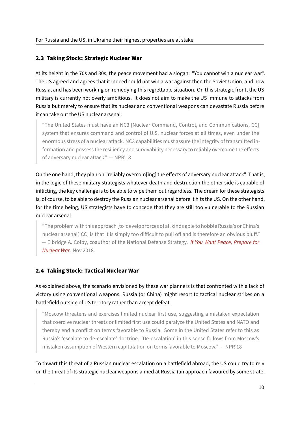### **2.3 Taking Stock: Strategic Nuclear War**

At its height in the 70s and 80s, the peace movement had a slogan: "You cannot win a nuclear war". The US agreed and agrees that it indeed could not win a war against then the Soviet Union, and now Russia, and has been working on remedying this regrettable situation. On this strategic front, the US military is currently not overly ambitious. It does not aim to make the US immune to attacks from Russia but merely to ensure that its nuclear and conventional weapons can devastate Russia before it can take out the US nuclear arsenal:

"The United States must have an NC3 [Nuclear Command, Control, and Communications, CC] system that ensures command and control of U.S. nuclear forces at all times, even under the enormous stress of a nuclear attack. NC3 capabilities must assure the integrity of transmitted in‑ formation and possess the resiliency and survivability necessary to reliably overcome the effects of adversary nuclear attack." — NPR'18

On the one hand, they plan on "reliably overcom[ing] the effects of adversary nuclear attack". That is, in the logic of these military strategists whatever death and destruction the other side is capable of inflicting, the key challenge is to be able to wipe them out regardless. The dream for these strategists is, of course, to be able to destroy the Russian nuclear arsenal before it hits the US. On the other hand, for the time being, US strategists have to concede that they are still too vulnerable to the Russian nuclear arsenal:

"The problem with this approach [to 'develop forces of all kinds able to hobble Russia's or China's nuclear arsenal', CC] is that it is simply too difficult to pull off and is therefore an obvious bluff." — Elbridge A. Colby, coauthor of the National Defense Strategy. *If You Want Peace, Prepare for Nuclear War*. Nov 2018.

### **2.[4 Taking St](http://archive.today/2021.02.20-100113/https://www.foreignaffairs.com/articles/china/2018-10-15/if-you-want-peace-prepare-nuclear-war)ock: Tactical Nuclear War**

As explained above, the scenario envisioned by these war planners is that confronted with a lack of victory using conventional weapons, Russia (or China) might resort to tactical nuclear strikes on a battlefield outside of US territory rather than accept defeat.

"Moscow threatens and exercises limited nuclear first use, suggesting a mistaken expectation that coercive nuclear threats or limited first use could paralyze the United States and NATO and thereby end a conflict on terms favorable to Russia. Some in the United States refer to this as Russia's 'escalate to de‑escalate' doctrine. 'De‑escalation' in this sense follows from Moscow's mistaken assumption of Western capitulation on terms favorable to Moscow." — NPR'18

To thwart this threat of a Russian nuclear escalation on a battlefield abroad, the US could try to rely on the threat of its strategic nuclear weapons aimed at Russia (an approach favoured by some strate‑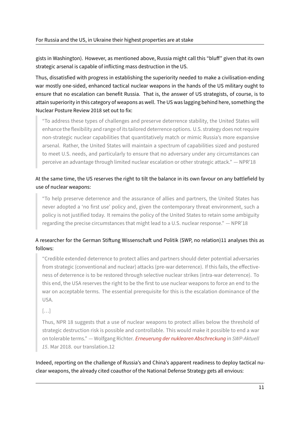gists in Washington). However, as mentioned above, Russia might call this "bluff" given that its own strategic arsenal is capable of inflicting mass destruction in the US.

Thus, dissatisfied with progress in establishing the superiority needed to make a civilisation‑ending war mostly one-sided, enhanced tactical nuclear weapons in the hands of the US military ought to ensure that no escalation can benefit Russia. That is, the answer of US strategists, of course, is to attain superiority in this category of weapons as well. The US was lagging behind here, something the Nuclear Posture Review 2018 set out to fix:

"To address these types of challenges and preserve deterrence stability, the United States will enhance the flexibility and range of its tailored deterrence options. U.S. strategy does not require non‑strategic nuclear capabilities that quantitatively match or mimic Russia's more expansive arsenal. Rather, the United States will maintain a spectrum of capabilities sized and postured to meet U.S. needs, and particularly to ensure that no adversary under any circumstances can perceive an advantage through limited nuclear escalation or other strategic attack." — NPR'18

# At the same time, the US reserves the right to tilt the balance in its own favour on any battlefield by use of nuclear weapons:

"To help preserve deterrence and the assurance of allies and partners, the United States has never adopted a 'no first use' policy and, given the contemporary threat environment, such a policy is not justified today. It remains the policy of the United States to retain some ambiguity regarding the precise circumstances that might lead to a U.S. nuclear response." — NPR'18

# A researcher for the German Stiftung Wissenschaft und Politik (SWP, no relation)11 analyses this as follows:

"Credible extended deterrence to protect allies and partners should deter potential adversaries from strategic (conventional and nuclear) attacks (pre-war deterrence). If this fails, the effectiveness of deterrence is to be restored through selective nuclear strikes (intra‑war deterrence). To this end, the USA reserves the right to be the first to use nuclear weapons to force an end to the war on acceptable terms. The essential prerequisite for this is the escalation dominance of the USA.

[…]

Thus, NPR 18 suggests that a use of nuclear weapons to protect allies below the threshold of strategic destruction risk is possible and controllable. This would make it possible to end a war on tolerable terms." — Wolfgang Richter. *Erneuerung der nuklearen Abschreckung* in *SWP‑Aktuell 15*. Mar 2018. our translation.12

Indeed, reporting on the challenge of Russi[a's and China's apparent readiness to de](https://web.archive.org/web/20220522143224/https://www.swp-berlin.org/publications/products/aktuell/2018A15_rrw.pdf)ploy tactical nu‑ clear weapons, the already cited coauthor of the National Defense Strategy gets all envious: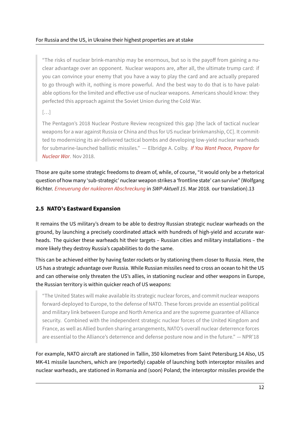"The risks of nuclear brink‑manship may be enormous, but so is the payoff from gaining a nu‑ clear advantage over an opponent. Nuclear weapons are, after all, the ultimate trump card: if you can convince your enemy that you have a way to play the card and are actually prepared to go through with it, nothing is more powerful. And the best way to do that is to have palatable options for the limited and effective use of nuclear weapons. Americans should know: they perfected this approach against the Soviet Union during the Cold War.

[…]

The Pentagon's 2018 Nuclear Posture Review recognized this gap [the lack of tactical nuclear weapons for a war against Russia or China and thus for US nuclear brinkmanship, CC]. It committed to modernizing its air‑delivered tactical bombs and developing low‑yield nuclear warheads for submarine‑launched ballistic missiles." — Elbridge A. Colby. *If You Want Peace, Prepare for Nuclear War*. Nov 2018.

Those are quite some strategic freedoms to dream of, while, of cour[se, "it would only be a rhetoric](https://archive.ph/2021.02.20-100113/https://www.foreignaffairs.com/articles/china/2018-10-15/if-you-want-peace-prepare-nuclear-war)al qu[estion of how](https://archive.ph/2021.02.20-100113/https://www.foreignaffairs.com/articles/china/2018-10-15/if-you-want-peace-prepare-nuclear-war) many 'sub-strategic' nuclear weapon strikes a 'frontline state' can survive" (Wolfgang Richter. *Erneuerung der nuklearen Abschreckung* in *SWP‑Aktuell 15*. Mar 2018. our translation).13

# **2.5 N[ATO's Eastward Expansion](https://web.archive.org/web/20220522143224/https://www.swp-berlin.org/publications/products/aktuell/2018A15_rrw.pdf)**

It remains the US military's dream to be able to destroy Russian strategic nuclear warheads on the ground, by launching a precisely coordinated attack with hundreds of high-yield and accurate warheads. The quicker these warheads hit their targets – Russian cities and military installations – the more likely they destroy Russia's capabilities to do the same.

This can be achieved either by having faster rockets or by stationing them closer to Russia. Here, the US has a strategic advantage over Russia. While Russian missiles need to cross an ocean to hit the US and can otherwise only threaten the US's allies, in stationing nuclear and other weapons in Europe, the Russian territory is within quicker reach of US weapons:

"The United States will make available its strategic nuclear forces, and commit nuclear weapons forward‑deployed to Europe, to the defense of NATO. These forces provide an essential political and military link between Europe and North America and are the supreme guarantee of Alliance security. Combined with the independent strategic nuclear forces of the United Kingdom and France, as well as Allied burden sharing arrangements, NATO's overall nuclear deterrence forces are essential to the Alliance's deterrence and defense posture now and in the future." — NPR'18

For example, NATO aircraft are stationed in Tallin, 350 kilometres from Saint Petersburg.14 Also, US MK‑41 missile launchers, which are (reportedly) capable of launching both interceptor missiles and nuclear warheads, are stationed in Romania and (soon) Poland; the interceptor missiles provide the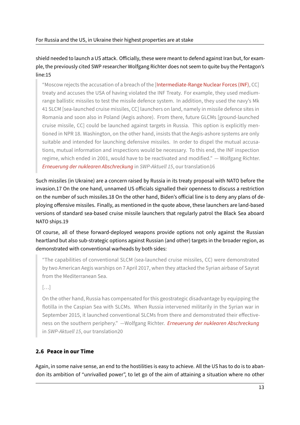shield needed to launch a US attack. Officially, these were meant to defend against Iran but, for example, the previously cited SWP researcher Wolfgang Richter does not seem to quite buy the Pentagon's line:15

"Moscow rejects the accusation of a breach of the [Intermediate‑Range Nuclear Forces (INF), CC] treaty and accuses the USA of having violated the INF Treaty. For example, they used medium‑ range ballistic missiles to test the missile defence system. In addition, they used the navy's Mk 41 SLCM [sea‑launched cruise missiles, CC] launch[ers on land, namely in missile defence site](https://en.wikipedia.org/wiki/Intermediate-Range_Nuclear_Forces_Treaty)s in Romania and soon also in Poland (Aegis ashore). From there, future GLCMs [ground‑launched cruise missile, CC] could be launched against targets in Russia. This option is explicitly mentioned in NPR 18. Washington, on the other hand, insists that the Aegis-ashore systems are only suitable and intended for launching defensive missiles. In order to dispel the mutual accusations, mutual information and inspections would be necessary. To this end, the INF inspection regime, which ended in 2001, would have to be reactivated and modified." — Wolfgang Richter. *Erneuerung der nuklearen Abschreckung* in *SWP‑Aktuell 15*, our translation16

Such missiles (in Ukraine) are a concern raised by Russia in its treaty proposal with NATO before the in[vasion.17 On the one hand, unnamed US](https://web.archive.org/web/20220522143224/https://www.swp-berlin.org/publications/products/aktuell/2018A15_rrw.pdf) officials signalled their openness to discuss a restriction on the number of such missiles.18 On the other hand, Biden's official line is to deny any plans of de‑ ploying offensive missiles. Finally, as mentioned in the quote above, these launchers are land‑based versions of standard sea-based cruise missile launchers that regularly patrol the Black Sea aboard NATO ships.19

Of course, all of these forward‑deployed weapons provide options not only against the Russian heartland but also sub‑strategic options against Russian (and other) targets in the broader region, as demonstrated with conventional warheads by both sides:

"The capabilities of conventional SLCM (sea‑launched cruise missiles, CC) were demonstrated by two American Aegis warships on 7 April 2017, when they attacked the Syrian airbase of Sayrat from the Mediterranean Sea.

[…]

On the other hand, Russia has compensated for this geostrategic disadvantage by equipping the flotilla in the Caspian Sea with SLCMs. When Russia intervened militarily in the Syrian war in September 2015, it launched conventional SLCMs from there and demonstrated their effectiveness on the southern periphery." —Wolfgang Richter. *Erneuerung der nuklearen Abschreckung* in *SWP‑Aktuell 15*, our translation20

# **2.6 Peace in our Time**

Again, in some naive sense, an end to the hostilities is easy to achieve. All the US has to do is to abandon its ambition of "unrivalled power", to let go of the aim of attaining a situation where no other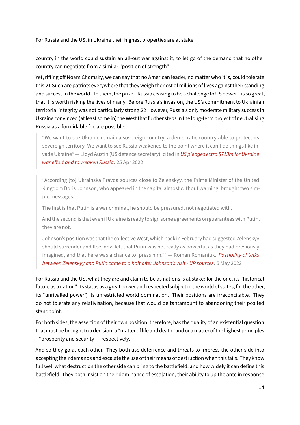country in the world could sustain an all‑out war against it, to let go of the demand that no other country can negotiate from a similar "position of strength".

Yet, riffing off Noam Chomsky, we can say that no American leader, no matter who it is, could tolerate this.21 Such are patriots everywhere that they weigh the cost of millions of lives against their standing and success in the world. To them, the prize – Russia ceasing to be a challenge to US power – is so great, that it is worth risking the lives of many. Before Russia's invasion, the US's commitment to Ukrainian territorial integrity was not particularly strong.22 However, Russia's only moderate military success in Ukraine convinced (at least some in) the West that further steps in the long-term project of neutralising Russia as a formidable foe are possible:

"We want to see Ukraine remain a sovereign country, a democratic country able to protect its sovereign territory. We want to see Russia weakened to the point where it can't do things like invade Ukraine" — Lloyd Austin (US defence secretary), cited in *US pledges extra \$713m for Ukraine war effort and to weaken Russia*. 25 Apr 2022

"According [to] Ukrainska Pravda sources close to Zelensky[y, the Prime Minister of the United](https://web.archive.org/web/20220619231312/https://www.theguardian.com/world/2022/apr/25/us-diplomats-to-return-to-ukraine-and-fresh-military-aid-unveiled-after-blinken-visit) [Kingdom Boris Johnson, who ap](https://web.archive.org/web/20220619231312/https://www.theguardian.com/world/2022/apr/25/us-diplomats-to-return-to-ukraine-and-fresh-military-aid-unveiled-after-blinken-visit)peared in the capital almost without warning, brought two simple messages.

The first is that Putin is a war criminal, he should be pressured, not negotiated with.

And the second is that even if Ukraine is ready to sign some agreements on guarantees with Putin, they are not.

Johnson's position was that the collective West, which back in February had suggested Zelenskyy should surrender and flee, now felt that Putin was not really as powerful as they had previously imagined, and that here was a chance to 'press him."' — Roman Romaniuk. *Possibility of talks between Zelenskyy and Putin came to a halt after Johnson's visit ‑ UP sources*. 5 May 2022

For Russia and the US, what they are and claim to be as nations is at stake: for t[he one, its "historic](https://web.archive.org/web/20220515174058/https://www.pravda.com.ua/eng/news/2022/05/5/7344206/)al fut[ure as a nation", its status as a great power and respected subject in the world](https://web.archive.org/web/20220515174058/https://www.pravda.com.ua/eng/news/2022/05/5/7344206/) of states; for the other, its "unrivalled power", its unrestricted world domination. Their positions are irreconcilable. They do not tolerate any relativisation, because that would be tantamount to abandoning their posited standpoint.

For both sides, the assertion of their own position, therefore, has the quality of an existential question thatmust be brought to a decision, a "matter of life and death" and or amatter of the highest principles – "prosperity and security" – respectively.

And so they go at each other. They both use deterrence and threats to impress the other side into accepting their demands and escalate the use of their means of destruction when this fails. They know full well what destruction the other side can bring to the battlefield, and how widely it can define this battlefield. They both insist on their dominance of escalation, their ability to up the ante in response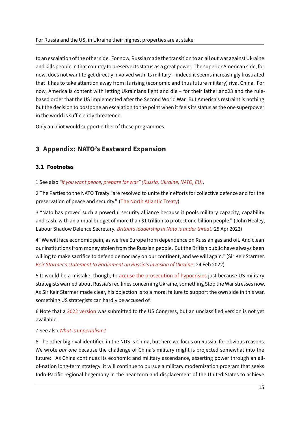to an escalation of the other side. For now, Russia made the transition to an all out war against Ukraine and kills people in that country to preserve its status as a great power. The superior American side, for now, does not want to get directly involved with its military – indeed it seems increasingly frustrated that it has to take attention away from its rising (economic and thus future military) rival China. For now, America is content with letting Ukrainians fight and die – for their fatherland23 and the rulebased order that the US implemented after the Second World War. But America's restraint is nothing but the decision to postpone an escalation to the point when it feels its status as the one superpower in the world is sufficiently threatened.

Only an idiot would support either of these programmes.

# **3 Appendix: NATO's Eastward Expansion**

### **3.1 Footnotes**

### 1 See also *"If you want peace, prepare for war" (Russia, Ukraine, NATO, EU)*.

2 The Parties to the NATO Treaty "are resolved to unite their efforts for collective defence and for the preservation of peace and security." (The North Atlantic Treaty)

3 "Nato h[as proved such a powerful security alliance because it pools m](https://antinational.org/en/if-you-want-peace-prepare-for-war-russia-ukraine-nato-eu/)ilitary capacity, capability and cash, with an annual budget of more than \$1 trillion to protect one billion people." (John Healey, Labour Shadow Defence Secretary. *B[ritain's leadership in Nato](https://www.nato.int/cps/en/natolive/official_texts_17120.htm) is under threat*. 25 Apr 2022)

4 "We will face economic pain, as we free Europe from dependence on Russian gas and oil. And clean our institutions from money stolen from the Russian people. But the British public have always been willing to make sacrifice to defend [democracy on our continent, and we will a](http://archive.today/2022.04.25-111544/https://www.telegraph.co.uk/opinion/2022/04/25/britains-leadership-nato-threat/)gain." (Sir Keir Starmer. *Keir Starmer's statement to Parliament on Russia's invasion of Ukraine*. 24 Feb 2022)

5 It would be a mistake, though, to accuse the prosecution of hypocrisies just because US military strategists warned about Russia's red lines concerning Ukraine, something Stop the War stresses now. [As Sir Keir Starmer made clear, his objection is to a moral failure to su](https://web.archive.org/web/20220609162449/https://labour.org.uk/press/keir-starmer-statement-to-parliament-on-russias-invasion-of-ukraine/)pport the own side in this war, something US strategists can hardly [be accused of.](http://archive.today/2022.05.15-155824/https://twitter.com/ggreenwald/status/1498375410341621767)

6 Note that a 2022 version was submitted to the US Congress, but an unclassified version is not yet available.

### 7 See also *Wh[at is Imperiali](https://web.archive.org/web/20220531194150/https://media.defense.gov/2022/Mar/28/2002964702/-1/-1/1/NDS-FACT-SHEET.PDF)sm?*

8 The other big rival identified in the NDS is China, but here we focus on Russia, for obvious reasons. We wrote *bar one* because the challenge of China's military might is projected somewhat into the future: "A[s China continues its](https://antinational.org/en/what-is-imperialism-talk/) economic and military ascendance, asserting power through an allof-nation long-term strategy, it will continue to pursue a military modernization program that seeks Indo-Pacific regional hegemony in the near-term and displacement of the United States to achieve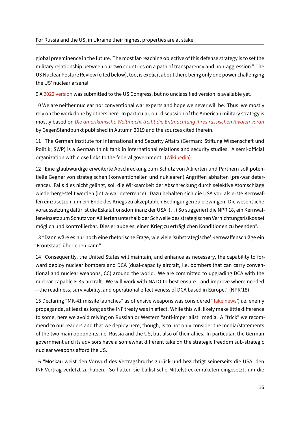global preeminence in the future. The most far-reaching objective of this defense strategy is to set the military relationship between our two countries on a path of transparency and non‑aggression." The US Nuclear Posture Review (cited below), too, is explicit about there being only one power challenging the US' nuclear arsenal.

9 A 2022 version was submitted to the US Congress, but no unclassified version is available yet.

10 We are neither nuclear nor conventional war experts and hope we never will be. Thus, we mostly rely on the work done by others here. In particular, our discussion of the American military strategy is mo[stly based on](https://web.archive.org/web/20220530170134/https://media.defense.gov/2022/Mar/29/2002965339/-1/-1/1/FACT-SHEET-2022-NUCLEAR-POSTURE-REVIEW-AND-MISSILE-DEFENSE-REVIEW.PDF) *Die amerikanische Weltmacht treibt die Entmachtung ihres russischen Rivalen voran* by GegenStandpunkt published in Autumn 2019 and the sources cited therein.

11 "The German Institute for International and Security Affairs (German: Stiftung Wissenschaft und Politik; SWP) is [a German think tank in international relations and security studies. A semi‑official](https://de.gegenstandpunkt.com/artikel/usa-treiben-entmachtung-ihres-russischen-rivalen-voran) organization with close links to the federal government" (Wikipedia)

12 "Eine glaubwürdige erweiterte Abschreckung zum Schutz von Alliierten und Partnern soll potentielle Gegner von strategischen (konventionellen und nuklearen) Angriffen abhalten (pre-war deterrence). Falls dies nicht gelingt, soll die Wirksamkeit der [Abschrecku](https://en.wikipedia.org/wiki/German_Institute_for_International_and_Security_Affairs)ng durch selektive Atomschläge wiederhergestellt werden (intra-war deterrence). Dazu behalten sich die USA vor, als erste Kernwaffen einzusetzen, um ein Ende des Kriegs zu akzeptablen Bedingungen zu erzwingen. Die wesentliche Voraussetzung dafür ist die Eskalationsdominanz der USA. (…) So suggeriert die NPR 18, ein Kernwaf‑ feneinsatz zum Schutz von Alliierten unterhalb der Schwelle des strategischen Vernichtungsrisikos sei möglich und kontrollierbar. Dies erlaube es, einen Krieg zu erträglichen Konditionen zu beenden".

13 "Dann wäre es nur noch eine rhetorische Frage, wie viele 'substrategische' Kernwaffenschläge ein 'Frontstaat' überleben kann"

14 "Consequently, the United States will maintain, and enhance as necessary, the capability to forward deploy nuclear bombers and DCA (dual-capacity aircraft, i.e. bombers that can carry conventional and nuclear weapons, CC) around the world. We are committed to upgrading DCA with the nuclear‑capable F‑35 aircraft. We will work with NATO to best ensure—and improve where needed —the readiness, survivability, and operational effectiveness of DCA based in Europe." (NPR'18)

15 Declaring "MK-41 missile launches" as offensive weapons was considered "fake news", i.e. enemy propaganda, at least as long as the INF treaty was in effect. While this will likely make little difference to some, here we avoid relying on Russian or Western "anti-imperialist" media. A "trick" we recommend to our readers and that we deploy here, though, is to not only consider [the media/](https://euvsdisinfo.eu/report/russia-claims-there-are-mk41-launchers-in-romania)statements of the two main opponents, i.e. Russia and the US, but also of their allies. In particular, the German government and its advisors have a somewhat different take on the strategic freedom sub‑strategic nuclear weapons afford the US.

16 "Moskau weist den Vorwurf des Vertragsbruchs zurück und bezichtigt seinerseits die USA, den INF‑Vertrag verletzt zu haben. So hätten sie ballistische Mittelstreckenraketen eingesetzt, um die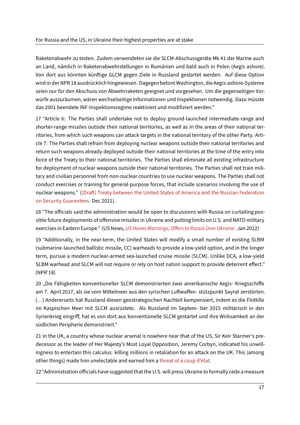Raketenabwehr zu testen. Zudem verwendeten sie die SLCM‑Abschussgeräte Mk 41 der Marine auch an Land, nämlich in Raketenabwehrstellungen in Rumänien und bald auch in Polen (Aegis ashore). Von dort aus könnten künftige GLCM gegen Ziele in Russland gestartet werden. Auf diese Option wird in der NPR 18 ausdrücklich hingewiesen. Dagegen betont Washington, die Aegis‑ashore‑Systeme seien nur für den Abschuss von Abwehrraketen geeignet und vorgesehen. Um die gegenseitigen Vorwürfe auszuräumen, wären wechselseitige Informationen und Inspektionen notwendig. Dazu müsste das 2001 beendete INF‑Inspektionsregime reaktiviert und modifiziert werden."

17 "Article 6: The Parties shall undertake not to deploy ground-launched intermediate-range and shorter-range missiles outside their national territories, as well as in the areas of their national territories, from which such weapons can attack targets in the national territory of the other Party. Article 7: The Parties shall refrain from deploying nuclear weapons outside their national territories and return such weapons already deployed outside their national territories at the time of the entry into force of the Treaty to their national territories. The Parties shall eliminate all existing infrastructure for deployment of nuclear weapons outside their national territories. The Parties shall not train military and civilian personnel from non‑nuclear countries to use nuclear weapons. The Parties shall not conduct exercises or training for general‑purpose forces, that include scenarios involving the use of nuclear weapons." ((Draft) Treaty between the United States of America and the Russian Federation on Security Guarantees. Dec 2021).

18 "The officials said the administration would be open to discussions with Russia on curtailing possible future deploy[ments of offensive missiles in Ukraine and putting limits on U.S. and NATO military](https://web.archive.org/web/20220522130503/https://mid.ru/ru/foreign_policy/rso/nato/1790818/?lang=en) [exercises in Eastern Euro](https://web.archive.org/web/20220522130503/https://mid.ru/ru/foreign_policy/rso/nato/1790818/?lang=en)pe." (US News, *US Hones Warnings, Offers to Russia Over Ukraine*. Jan 2022)

19 "Additionally, in the near‑term, the United States will modify a small number of existing SLBM (submarine‑launched ballistic missile, CC) warheads to provide a low‑yield option, and in the longer term, pursue a modern nuclear‑armed [sea‑launched cruise missile \(SLCM\). Unlike DCA](https://web.archive.org/web/20220515162750/https://www.usnews.com/news/politics/articles/2022-01-08/us-open-to-limiting-military-exercises-missiles-with-russia), a low‑yield SLBM warhead and SLCM will not require or rely on host nation support to provide deterrent effect." (NPR'18)

20 "Die Fähigkeiten konventioneller SLCM demonstrierten zwei amerikanische Aegis- Kriegsschiffe am 7. April 2017, als sie vom Mittelmeer aus den syrischen Luftwaffen‑ stützpunkt Sayrat zerstörten. (…) Andererseits hat Russland diesen geostrategischen Nachteil kompensiert, indem es die Flottille im Kaspischen Meer mit SLCM ausrüstete. Als Russland im Septem‑ ber 2015 militärisch in den Syrienkrieg eingriff, hat es von dort aus konventionelle SLCM gestartet und ihre Wirksamkeit an der südlichen Peripherie demonstriert."

21 In the UK, a country whose nuclear arsenal is nowhere near that of the US, Sir Keir Starmer's pre‑ decessor as the leader of Her Majesty's Most Loyal Opposition, Jeremy Corbyn, indicated his unwill‑ ingness to entertain this calculus: killing millions in retaliation for an attack on the UK. This (among other things) made him unelectable and earned him a threat of a coup d'état.

22 "Administration officials have suggested that the U.S. will press Ukraine to formally cede a measure